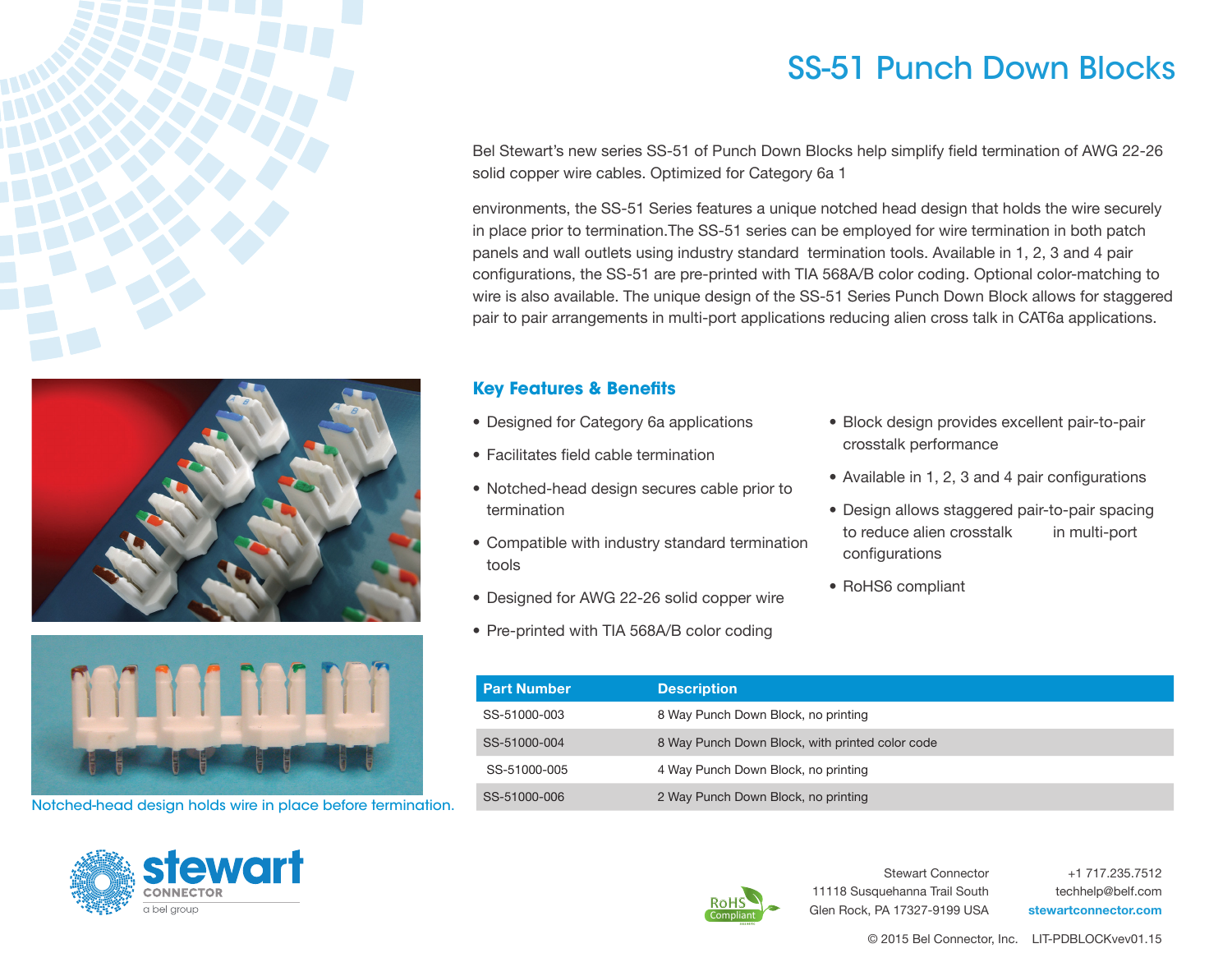





Notched-head design holds wire in place before termination.



## SS-51 Punch Down Blocks

Bel Stewart's new series SS-51 of Punch Down Blocks help simplify field termination of AWG 22-26 solid copper wire cables. Optimized for Category 6a 1

environments, the SS-51 Series features a unique notched head design that holds the wire securely in place prior to termination.The SS-51 series can be employed for wire termination in both patch panels and wall outlets using industry standard termination tools. Available in 1, 2, 3 and 4 pair configurations, the SS-51 are pre-printed with TIA 568A/B color coding. Optional color-matching to wire is also available. The unique design of the SS-51 Series Punch Down Block allows for staggered pair to pair arrangements in multi-port applications reducing alien cross talk in CAT6a applications.

## **Key Features & Benefits**

- Designed for Category 6a applications
- Facilitates field cable termination
- Notched-head design secures cable prior to termination
- Compatible with industry standard termination tools
- Designed for AWG 22-26 solid copper wire
- Pre-printed with TIA 568A/B color coding
- Block design provides excellent pair-to-pair crosstalk performance
- Available in 1, 2, 3 and 4 pair configurations
- Design allows staggered pair-to-pair spacing to reduce alien crosstalk in multi-port configurations
- RoHS6 compliant

| <b>Part Number</b> | <b>Description</b>                              |
|--------------------|-------------------------------------------------|
| SS-51000-003       | 8 Way Punch Down Block, no printing             |
| SS-51000-004       | 8 Way Punch Down Block, with printed color code |
| SS-51000-005       | 4 Way Punch Down Block, no printing             |
| SS-51000-006       | 2 Way Punch Down Block, no printing             |



Stewart Connector 11118 Susquehanna Trail South Glen Rock, PA 17327-9199 USA

+1 717.235.7512 techhelp@belf.com stewartconnector.com

© 2015 Bel Connector, Inc. LIT-PDBLOCKvev01.15